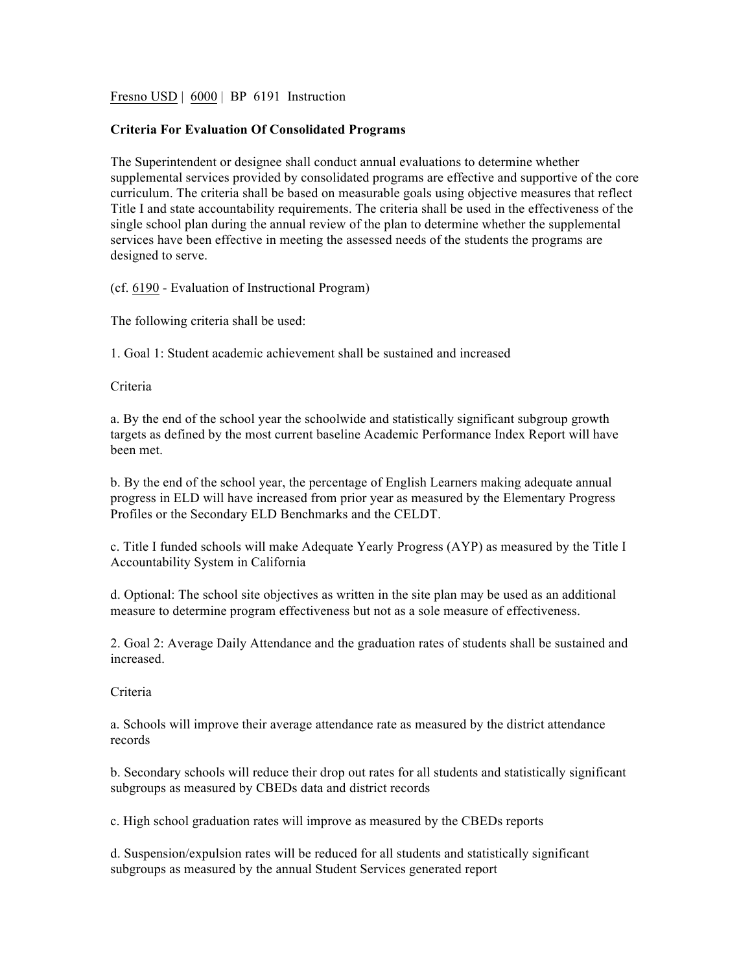Fresno USD | 6000 | BP 6191 Instruction

## **Criteria For Evaluation Of Consolidated Programs**

The Superintendent or designee shall conduct annual evaluations to determine whether supplemental services provided by consolidated programs are effective and supportive of the core curriculum. The criteria shall be based on measurable goals using objective measures that reflect Title I and state accountability requirements. The criteria shall be used in the effectiveness of the single school plan during the annual review of the plan to determine whether the supplemental services have been effective in meeting the assessed needs of the students the programs are designed to serve.

(cf. 6190 - Evaluation of Instructional Program)

The following criteria shall be used:

1. Goal 1: Student academic achievement shall be sustained and increased

Criteria

a. By the end of the school year the schoolwide and statistically significant subgroup growth targets as defined by the most current baseline Academic Performance Index Report will have been met.

b. By the end of the school year, the percentage of English Learners making adequate annual progress in ELD will have increased from prior year as measured by the Elementary Progress Profiles or the Secondary ELD Benchmarks and the CELDT.

c. Title I funded schools will make Adequate Yearly Progress (AYP) as measured by the Title I Accountability System in California

d. Optional: The school site objectives as written in the site plan may be used as an additional measure to determine program effectiveness but not as a sole measure of effectiveness.

2. Goal 2: Average Daily Attendance and the graduation rates of students shall be sustained and increased.

Criteria

a. Schools will improve their average attendance rate as measured by the district attendance records

b. Secondary schools will reduce their drop out rates for all students and statistically significant subgroups as measured by CBEDs data and district records

c. High school graduation rates will improve as measured by the CBEDs reports

d. Suspension/expulsion rates will be reduced for all students and statistically significant subgroups as measured by the annual Student Services generated report